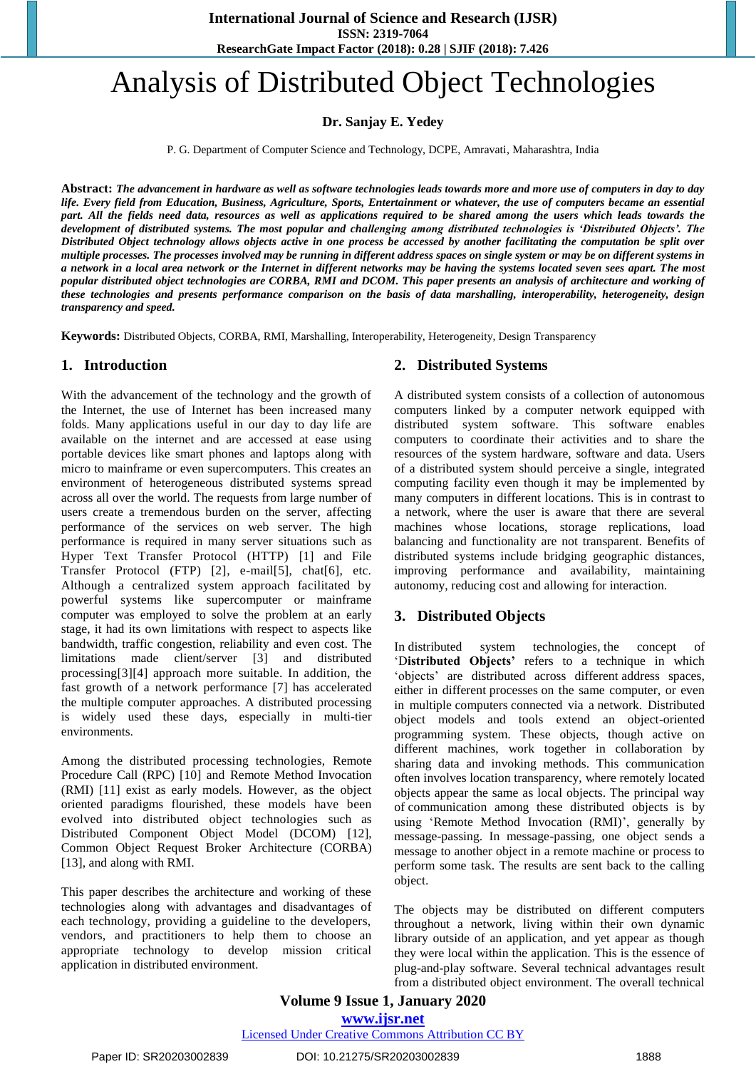# Analysis of Distributed Object Technologies

**Dr. Sanjay E. Yedey**

P. G. Department of Computer Science and Technology, DCPE, Amravati, Maharashtra, India

**Abstract:** *The advancement in hardware as well as software technologies leads towards more and more use of computers in day to day life. Every field from Education, Business, Agriculture, Sports, Entertainment or whatever, the use of computers became an essential part. All the fields need data, resources as well as applications required to be shared among the users which leads towards the development of distributed systems. The most popular and challenging among distributed technologies is 'Distributed Objects'. The Distributed Object technology allows objects active in one process be accessed by another facilitating the computation be split over multiple processes. The processes involved may be running in different address spaces on single system or may be on different systems in a network in a local area network or the Internet in different networks may be having the systems located seven sees apart. The most popular distributed object technologies are CORBA, RMI and DCOM. This paper presents an analysis of architecture and working of these technologies and presents performance comparison on the basis of data marshalling, interoperability, heterogeneity, design transparency and speed.*

**Keywords:** Distributed Objects, CORBA, RMI, Marshalling, Interoperability, Heterogeneity, Design Transparency

## **1. Introduction**

With the advancement of the technology and the growth of the Internet, the use of Internet has been increased many folds. Many applications useful in our day to day life are available on the internet and are accessed at ease using portable devices like smart phones and laptops along with micro to mainframe or even supercomputers. This creates an environment of heterogeneous distributed systems spread across all over the world. The requests from large number of users create a tremendous burden on the server, affecting performance of the services on web server. The high performance is required in many server situations such as Hyper Text Transfer Protocol (HTTP) [1] and File Transfer Protocol (FTP) [2], e-mail[5], chat[6], etc. Although a centralized system approach facilitated by powerful systems like supercomputer or mainframe computer was employed to solve the problem at an early stage, it had its own limitations with respect to aspects like bandwidth, traffic congestion, reliability and even cost. The limitations made client/server [3] and distributed processing[3][4] approach more suitable. In addition, the fast growth of a network performance [7] has accelerated the multiple computer approaches. A distributed processing is widely used these days, especially in multi-tier environments.

Among the distributed processing technologies, Remote Procedure Call (RPC) [10] and Remote Method Invocation (RMI) [11] exist as early models. However, as the object oriented paradigms flourished, these models have been evolved into distributed object technologies such as Distributed Component Object Model (DCOM) [12], Common Object Request Broker Architecture (CORBA) [13], and along with RMI.

This paper describes the architecture and working of these technologies along with advantages and disadvantages of each technology, providing a guideline to the developers, vendors, and practitioners to help them to choose an appropriate technology to develop mission critical application in distributed environment.

## **2. Distributed Systems**

A distributed system consists of a collection of autonomous computers linked by a computer network equipped with distributed system software. This software enables computers to coordinate their activities and to share the resources of the system hardware, software and data. Users of a distributed system should perceive a single, integrated computing facility even though it may be implemented by many computers in different locations. This is in contrast to a network, where the user is aware that there are several machines whose locations, storage replications, load balancing and functionality are not transparent. Benefits of distributed systems include bridging geographic distances, improving performance and availability, maintaining autonomy, reducing cost and allowing for interaction.

## **3. Distributed Objects**

In distributed system technologies, the concept of 'D**istributed Objects'** refers to a technique in which 'objects' are distributed across different address spaces, either in different processes on the same computer, or even in multiple computers connected via a network. Distributed object models and tools extend an object-oriented programming system. These objects, though active on different machines, work together in collaboration by sharing data and invoking methods. This communication often involves location transparency, where remotely located objects appear the same as local objects. The principal way of communication among these distributed objects is by using 'Remote Method Invocation (RMI)', generally by message-passing. In message-passing, one object sends a message to another object in a remote machine or process to perform some task. The results are sent back to the calling object.

The objects may be distributed on different computers throughout a network, living within their own dynamic library outside of an application, and yet appear as though they were local within the application. This is the essence of plug-and-play software. Several technical advantages result from a distributed object environment. The overall technical

**Volume 9 Issue 1, January 2020 www.ijsr.net**

Licensed Under Creative Commons Attribution CC BY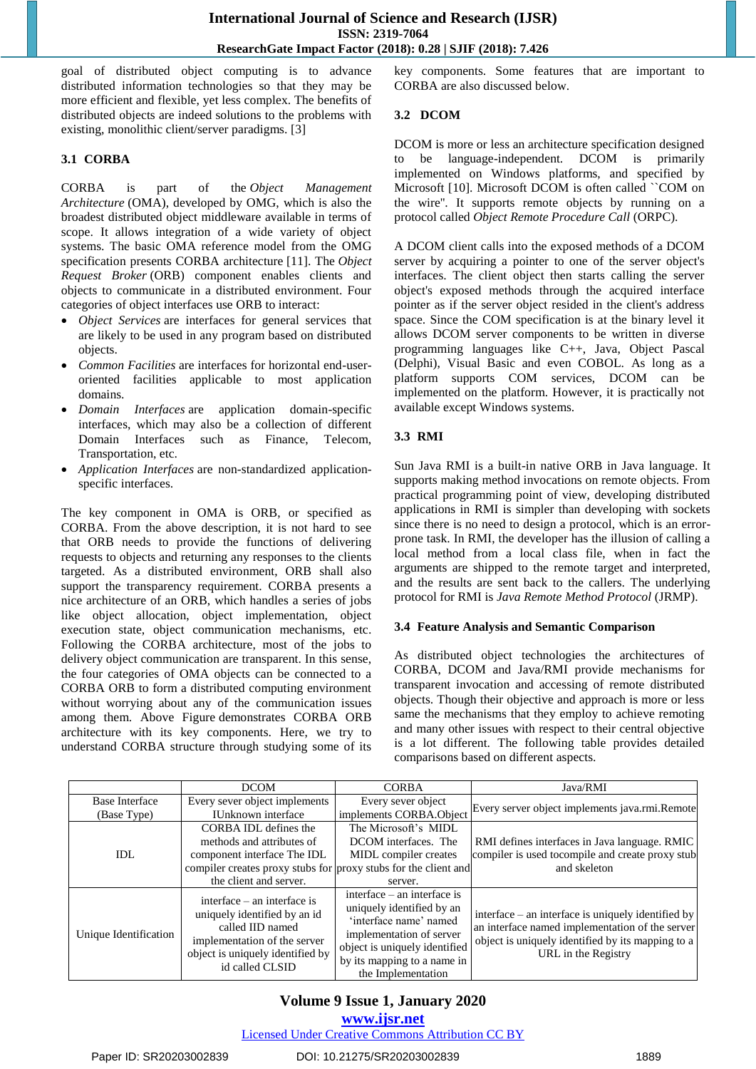goal of distributed object computing is to advance distributed information technologies so that they may be more efficient and flexible, yet less complex. The benefits of distributed objects are indeed solutions to the problems with existing, monolithic client/server paradigms. [3]

## **3.1 CORBA**

CORBA is part of the *Object Management Architecture* (OMA), developed by OMG, which is also the broadest distributed object middleware available in terms of scope. It allows integration of a wide variety of object systems. The basic OMA reference model from the OMG specification presents CORBA architecture [11]. The *Object Request Broker* (ORB) component enables clients and objects to communicate in a distributed environment. Four categories of object interfaces use ORB to interact:

- *Object Services* are interfaces for general services that are likely to be used in any program based on distributed objects.
- *Common Facilities* are interfaces for horizontal end-useroriented facilities applicable to most application domains.
- *Domain Interfaces* are application domain-specific interfaces, which may also be a collection of different Domain Interfaces such as Finance, Telecom, Transportation, etc.
- *Application Interfaces* are non-standardized applicationspecific interfaces.

The key component in OMA is ORB, or specified as CORBA. From the above description, it is not hard to see that ORB needs to provide the functions of delivering requests to objects and returning any responses to the clients targeted. As a distributed environment, ORB shall also support the transparency requirement. CORBA presents a nice architecture of an ORB, which handles a series of jobs like object allocation, object implementation, object execution state, object communication mechanisms, etc. Following the CORBA architecture, most of the jobs to delivery object communication are transparent. In this sense, the four categories of OMA objects can be connected to a CORBA ORB to form a distributed computing environment without worrying about any of the communication issues among them. Above Figure demonstrates CORBA ORB architecture with its key components. Here, we try to understand CORBA structure through studying some of its key components. Some features that are important to CORBA are also discussed below.

## **3.2 DCOM**

DCOM is more or less an architecture specification designed to be language-independent. DCOM is primarily implemented on Windows platforms, and specified by Microsoft [10]. Microsoft DCOM is often called ``COM on the wire''. It supports remote objects by running on a protocol called *Object Remote Procedure Call* (ORPC).

A DCOM client calls into the exposed methods of a DCOM server by acquiring a pointer to one of the server object's interfaces. The client object then starts calling the server object's exposed methods through the acquired interface pointer as if the server object resided in the client's address space. Since the COM specification is at the binary level it allows DCOM server components to be written in diverse programming languages like C++, Java, Object Pascal (Delphi), Visual Basic and even COBOL. As long as a platform supports COM services, DCOM can be implemented on the platform. However, it is practically not available except Windows systems.

## **3.3 RMI**

Sun Java RMI is a built-in native ORB in Java language. It supports making method invocations on remote objects. From practical programming point of view, developing distributed applications in RMI is simpler than developing with sockets since there is no need to design a protocol, which is an errorprone task. In RMI, the developer has the illusion of calling a local method from a local class file, when in fact the arguments are shipped to the remote target and interpreted, and the results are sent back to the callers. The underlying protocol for RMI is *Java Remote Method Protocol* (JRMP).

## **3.4 Feature Analysis and Semantic Comparison**

As distributed object technologies the architectures of CORBA, DCOM and Java/RMI provide mechanisms for transparent invocation and accessing of remote distributed objects. Though their objective and approach is more or less same the mechanisms that they employ to achieve remoting and many other issues with respect to their central objective is a lot different. The following table provides detailed comparisons based on different aspects.

|                       | <b>DCOM</b>                                                                                                                                                              | <b>CORBA</b>                                                                                                                                                                                         |                                                                                                                                                                                   |
|-----------------------|--------------------------------------------------------------------------------------------------------------------------------------------------------------------------|------------------------------------------------------------------------------------------------------------------------------------------------------------------------------------------------------|-----------------------------------------------------------------------------------------------------------------------------------------------------------------------------------|
|                       |                                                                                                                                                                          |                                                                                                                                                                                                      | Java/RMI                                                                                                                                                                          |
| <b>Base Interface</b> | Every sever object implements                                                                                                                                            | Every sever object                                                                                                                                                                                   | Every server object implements java.rmi.Remote                                                                                                                                    |
| (Base Type)           | IUnknown interface                                                                                                                                                       | implements CORBA.Object                                                                                                                                                                              |                                                                                                                                                                                   |
| IDL.                  | CORBA IDL defines the                                                                                                                                                    | The Microsoft's MIDL                                                                                                                                                                                 |                                                                                                                                                                                   |
|                       | methods and attributes of                                                                                                                                                | DCOM interfaces. The                                                                                                                                                                                 | RMI defines interfaces in Java language. RMIC                                                                                                                                     |
|                       | component interface The IDL                                                                                                                                              | MIDL compiler creates                                                                                                                                                                                | compiler is used to compile and create proxy stub                                                                                                                                 |
|                       | compiler creates proxy stubs for proxy stubs for the client and                                                                                                          |                                                                                                                                                                                                      | and skeleton                                                                                                                                                                      |
|                       | the client and server.                                                                                                                                                   | server.                                                                                                                                                                                              |                                                                                                                                                                                   |
| Unique Identification | interface $-$ an interface is<br>uniquely identified by an id<br>called IID named<br>implementation of the server<br>object is uniquely identified by<br>id called CLSID | interface – an interface is<br>uniquely identified by an<br>'interface name' named<br>implementation of server<br>object is uniquely identified<br>by its mapping to a name in<br>the Implementation | interface – an interface is uniquely identified by<br>an interface named implementation of the server<br>object is uniquely identified by its mapping to a<br>URL in the Registry |

## **Volume 9 Issue 1, January 2020**

Licensed Under Creative Commons Attribution CC BY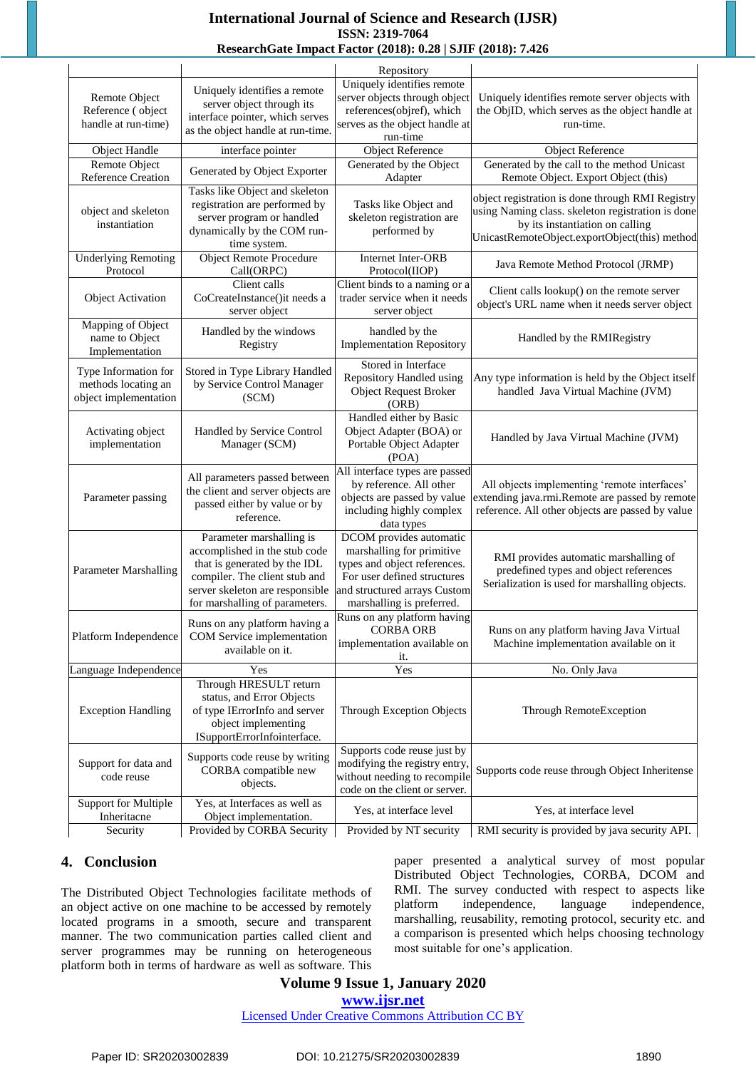## **International Journal of Science and Research (IJSR) ISSN: 2319-7064**

## **ResearchGate Impact Factor (2018): 0.28 | SJIF (2018): 7.426**

|                                                                      |                                                                                                                                                                                                 | Repository                                                                                                                                                                       |                                                                                                                                                                                           |
|----------------------------------------------------------------------|-------------------------------------------------------------------------------------------------------------------------------------------------------------------------------------------------|----------------------------------------------------------------------------------------------------------------------------------------------------------------------------------|-------------------------------------------------------------------------------------------------------------------------------------------------------------------------------------------|
| Remote Object<br>Reference (object<br>handle at run-time)            | Uniquely identifies a remote<br>server object through its<br>interface pointer, which serves<br>as the object handle at run-time.                                                               | Uniquely identifies remote<br>server objects through object<br>references(objref), which<br>serves as the object handle at<br>run-time                                           | Uniquely identifies remote server objects with<br>the ObjID, which serves as the object handle at<br>run-time.                                                                            |
| Object Handle                                                        | interface pointer                                                                                                                                                                               | <b>Object Reference</b>                                                                                                                                                          | Object Reference                                                                                                                                                                          |
| Remote Object<br>Reference Creation                                  | Generated by Object Exporter                                                                                                                                                                    | Generated by the Object<br>Adapter                                                                                                                                               | Generated by the call to the method Unicast<br>Remote Object. Export Object (this)                                                                                                        |
| object and skeleton<br>instantiation                                 | Tasks like Object and skeleton<br>registration are performed by<br>server program or handled<br>dynamically by the COM run-<br>time system.                                                     | Tasks like Object and<br>skeleton registration are<br>performed by                                                                                                               | object registration is done through RMI Registry<br>using Naming class. skeleton registration is done<br>by its instantiation on calling<br>UnicastRemoteObject.exportObject(this) method |
| <b>Underlying Remoting</b><br>Protocol                               | <b>Object Remote Procedure</b><br>Call(ORPC)                                                                                                                                                    | Internet Inter-ORB<br>Protocol(IIOP)                                                                                                                                             | Java Remote Method Protocol (JRMP)                                                                                                                                                        |
| <b>Object Activation</b>                                             | Client calls<br>CoCreateInstance()it needs a<br>server object                                                                                                                                   | Client binds to a naming or a<br>trader service when it needs<br>server object                                                                                                   | Client calls lookup() on the remote server<br>object's URL name when it needs server object                                                                                               |
| Mapping of Object<br>name to Object<br>Implementation                | Handled by the windows<br>Registry                                                                                                                                                              | handled by the<br><b>Implementation Repository</b>                                                                                                                               | Handled by the RMIRegistry                                                                                                                                                                |
| Type Information for<br>methods locating an<br>object implementation | Stored in Type Library Handled<br>by Service Control Manager<br>(SCM)                                                                                                                           | Stored in Interface<br><b>Repository Handled using</b><br><b>Object Request Broker</b><br>(ORB)                                                                                  | Any type information is held by the Object itself<br>handled Java Virtual Machine (JVM)                                                                                                   |
| Activating object<br>implementation                                  | Handled by Service Control<br>Manager (SCM)                                                                                                                                                     | Handled either by Basic<br>Object Adapter (BOA) or<br>Portable Object Adapter<br>(POA)                                                                                           | Handled by Java Virtual Machine (JVM)                                                                                                                                                     |
| Parameter passing                                                    | All parameters passed between<br>the client and server objects are<br>passed either by value or by<br>reference.                                                                                | All interface types are passed<br>by reference. All other<br>objects are passed by value<br>including highly complex<br>data types                                               | All objects implementing 'remote interfaces'<br>extending java.rmi.Remote are passed by remote<br>reference. All other objects are passed by value                                        |
| <b>Parameter Marshalling</b>                                         | Parameter marshalling is<br>accomplished in the stub code<br>that is generated by the IDL<br>compiler. The client stub and<br>server skeleton are responsible<br>for marshalling of parameters. | DCOM provides automatic<br>marshalling for primitive<br>types and object references.<br>For user defined structures<br>and structured arrays Custom<br>marshalling is preferred. | RMI provides automatic marshalling of<br>predefined types and object references<br>Serialization is used for marshalling objects.                                                         |
| Platform Independence                                                | Runs on any platform having a<br>COM Service implementation<br>available on it.                                                                                                                 | Runs on any platform having<br><b>CORBA ORB</b><br>implementation available on<br>it.                                                                                            | Runs on any platform having Java Virtual<br>Machine implementation available on it                                                                                                        |
| Language Independence                                                | Yes                                                                                                                                                                                             | Yes                                                                                                                                                                              | No. Only Java                                                                                                                                                                             |
| <b>Exception Handling</b>                                            | Through HRESULT return<br>status, and Error Objects<br>of type IErrorInfo and server<br>object implementing<br>ISupportErrorInfointerface.                                                      | <b>Through Exception Objects</b>                                                                                                                                                 | Through RemoteException                                                                                                                                                                   |
| Support for data and<br>code reuse                                   | Supports code reuse by writing<br>CORBA compatible new<br>objects.                                                                                                                              | Supports code reuse just by<br>modifying the registry entry,<br>without needing to recompile<br>code on the client or server.                                                    | Supports code reuse through Object Inheritense                                                                                                                                            |
| <b>Support for Multiple</b>                                          | Yes, at Interfaces as well as                                                                                                                                                                   | Yes, at interface level                                                                                                                                                          | Yes, at interface level                                                                                                                                                                   |
| Inheritacne<br>Security                                              | Object implementation.<br>Provided by CORBA Security                                                                                                                                            | Provided by NT security                                                                                                                                                          | RMI security is provided by java security API.                                                                                                                                            |

## **4. Conclusion**

The Distributed Object Technologies facilitate methods of an object active on one machine to be accessed by remotely located programs in a smooth, secure and transparent manner. The two communication parties called client and server programmes may be running on heterogeneous platform both in terms of hardware as well as software. This paper presented a analytical survey of most popular Distributed Object Technologies, CORBA, DCOM and RMI. The survey conducted with respect to aspects like platform independence, language independence, marshalling, reusability, remoting protocol, security etc. and a comparison is presented which helps choosing technology most suitable for one's application.

## **Volume 9 Issue 1, January 2020**

**www.ijsr.net**

Licensed Under Creative Commons Attribution CC BY